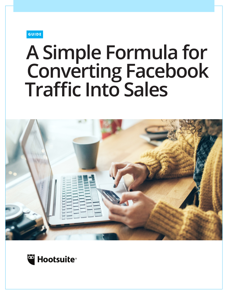**GUIDE** 

# **A Simple Formula for Converting Facebook Traffic Into Sales**



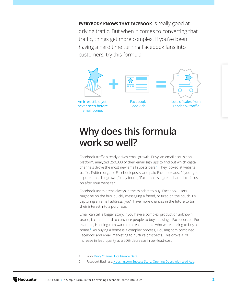**EVERYBODY KNOWS THAT FACEBOOK** is really good at driving traffic. But when it comes to converting that traffic, things get more complex. If you've been having a hard time turning Facebook fans into customers, try this formula:



# **Why does this formula work so well?**

Facebook traffic already drives email growth. Privy, an email acquisition platform, analyzed 250,000 of their email sign ups to find out which digital channels drove the most new email subscribers.**<sup>1</sup>** They looked at website traffic, Twitter, organic Facebook posts, and paid Facebook ads. "If your goal is pure email list growth," they found, "Facebook is a great channel to focus on after your website."

Facebook users aren't always in the mindset to buy. Facebook users might be on the bus, quickly messaging a friend, or tired on the couch. By capturing an email address, you'll have more chances in the future to turn their interest into a purchase.

Email can tell a bigger story. If you have a complex product or unknown brand, it can be hard to convince people to buy in a single Facebook ad. For example, Housing.com wanted to reach people who were looking to buy a home.**<sup>2</sup>** As buying a home is a complex process, Housing.com combined Facebook and email marketing to nurture prospects. This drove a 7X increase in lead quality at a 50% decrease in per-lead-cost.

- 1 Privy. [Privy Channel Intelligence Data](https://blog.privy.com/blog/2015/4/privy-channel-intelligence-data).
- 2 Facebook Business. [Housing.com Success Story: Opening Doors with Lead Ads](https://www.facebook.com/business/success/housing.com#u_0_h).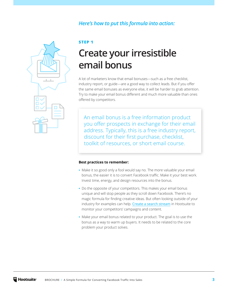#### *Here's how to put this formula into action:*



**STEP 1**

# **Create your irresistible email bonus**

A lot of marketers know that email bonuses—such as a free checklist, industry report, or guide—are a good way to collect leads. But if you offer the same email bonuses as everyone else, it will be harder to grab attention. Try to make your email bonus different and much more valuable than ones offered by competitors.

An email bonus is a free information product you offer prospects in exchange for their email address. Typically, this is a free industry report, discount for their first purchase, checklist, toolkit of resources, or short email course.

#### **Best practices to remember:**

- **•** Make it so good only a fool would say no. The more valuable your email bonus, the easier it is to convert Facebook traffic. Make it your best work. Invest time, energy, and design resources into the bonus.
- **•** Do the opposite of your competitors. This makes your email bonus unique and will stop people as they scroll down Facebook. There's no magic formula for finding creative ideas. But often looking outside of your industry for examples can help. [Create a search stream](https://help.hootsuite.com/hc/en-us/articles/115002205467 ) in Hootsuite to monitor your competitors' campaigns and content.
- **•** Make your email bonus related to your product. The goal is to use the bonus as a way to warm up buyers. It needs to be related to the core problem your product solves.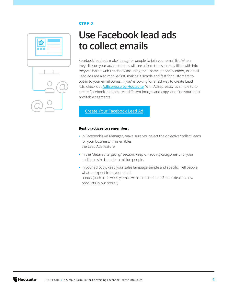#### **STEP 2**



# **Use Facebook lead ads to collect emails**

Facebook lead ads make it easy for people to join your email list. When they click on your ad, customers will see a form that's already filled with info they've shared with Facebook including their name, phone number, or email. Lead ads are also mobile-first, making it simple and fast for customers to opt-in to your email bonus. If you're looking for a fast way to create Lead Ads, check out [AdEspresso by Hootsuite](https://adespresso.com/?utm_campaign=all-alwayson-none-glo-en-------&utm_source=guide&utm_medium=owned_content&utm_content=blog_guide). With AdEspresso, it's simple to to create Facebook lead ads, test different images and copy, and find your most profitable segments.

#### [Create Your Facebook Lead Ad](https://www.facebook.com/business/a/lead-ads)

#### **Best practices to remember:**

- **•** In Facebook's Ad Manager, make sure you select the objective "collect leads for your business." This enables the Lead Ads feature.
- **•** In the "detailed targeting" section, keep on adding categories until your audience size is under a million people.
- **•** In your ad copy, keep your sales language simple and specific. Tell people what to expect from your email bonus (such as "a weekly email with an incredible 12-hour deal on new products in our store.")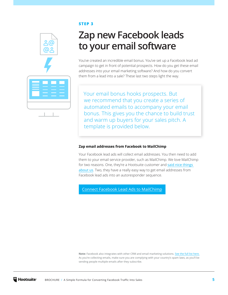#### **STEP 3**



# **Zap new Facebook leads to your email software**

You've created an incredible email bonus. You've set up a Facebook lead ad campaign to get in front of potential prospects. How do you get these email addresses into your email marketing software? And how do you convert them from a lead into a sale? These last two steps light the way.

Your email bonus hooks prospects. But we recommend that you create a series of automated emails to accompany your email bonus. This gives you the chance to build trust and warm up buyers for your sales pitch. A template is provided below.

#### **Zap email addresses from Facebook to MailChimp**

Your Facebook lead ads will collect email addresses. You then need to add them to your email service provider, such as MailChimp. We love MailChimp for two reasons. One, they're a Hootsuite customer and said nice things [about us](https://www.youtube.com/watch?v=rUFHt0aOQ18). Two, they have a really easy way to get email addresses from Facebook lead ads into an autoresponder sequence.

[Connect Facebook Lead Ads to MailChimp](http://kb.mailchimp.com/integrations/facebook/add-subscribers-with-facebook-lead-ads)

**Note:** Facebook also integrates with other CRM and email marketing solutions. [See the full list here.](https://www.facebook.com/business/help/908902042493104) As you're collecting emails, make sure you are complying with your country's spam laws, as you'll be sending people multiple emails after they subscribe.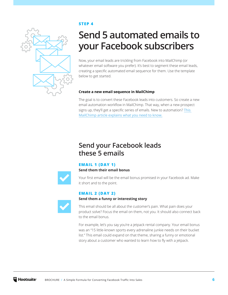

#### **STEP 4**

# **Send 5 automated emails to your Facebook subscribers**

Now, your email leads are trickling from Facebook into MailChimp (or whatever email software you prefer). It's best to segment these email leads, creating a specific automated email sequence for them. Use the template below to get started.

#### **Create a new email sequence in MailChimp**

The goal is to convert these Facebook leads into customers. So create a new email automation workflow in MailChimp. That way, when a new prospect signs up, they'll get a specific series of emails. New to automation? This [MailChimp article explains what you need to know.](http://kb.mailchimp.com/automation/about-automation)

### **Send your Facebook leads these 5 emails**

#### **EMAIL 1 (DAY 1)**

**Send them their email bonus**

**Send them a funny or interesting story** 



Your first email will be the email bonus promised in your Facebook ad. Make it short and to the point.

#### **EMAIL 2 (DAY 2)**



This email should be all about the customer's pain. What pain does your product solve? Focus the email on them, not you. It should also connect back to the email bonus.

For example, let's you say you're a jetpack rental company. Your email bonus was an "15 little-known sports every adrenaline junkie needs on their bucket list." This email could expand on that theme, sharing a funny or emotional story about a customer who wanted to learn how to fly with a jetpack.